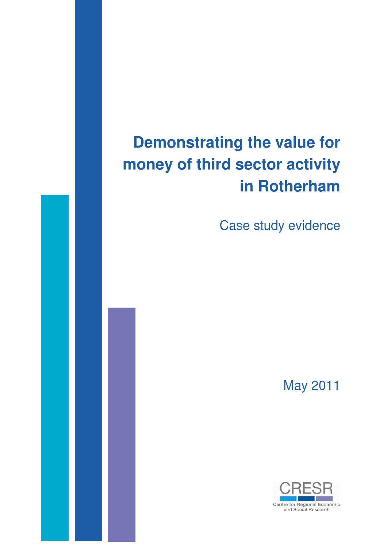# **Demonstrating the value for money of third sector activity in Rotherham**

Case study evidence

May 2011

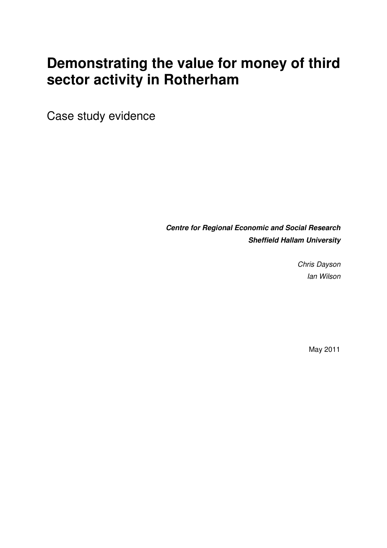# **Demonstrating the value for money of third sector activity in Rotherham**

Case study evidence

**Centre for Regional Economic and Social Research Sheffield Hallam University** 

> Chris Dayson Ian Wilson

> > May 2011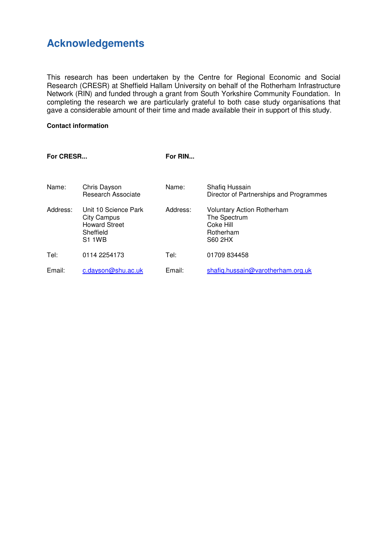# **Acknowledgements**

This research has been undertaken by the Centre for Regional Economic and Social Research (CRESR) at Sheffield Hallam University on behalf of the Rotherham Infrastructure Network (RIN) and funded through a grant from South Yorkshire Community Foundation. In completing the research we are particularly grateful to both case study organisations that gave a considerable amount of their time and made available their in support of this study.

#### **Contact information**

| For CRESR |                                                                                                  | For RIN  |                                                                                        |
|-----------|--------------------------------------------------------------------------------------------------|----------|----------------------------------------------------------------------------------------|
| Name:     | Chris Dayson<br><b>Research Associate</b>                                                        | Name:    | Shafiq Hussain<br>Director of Partnerships and Programmes                              |
| Address:  | Unit 10 Science Park<br><b>City Campus</b><br><b>Howard Street</b><br>Sheffield<br><b>S1 1WB</b> | Address: | <b>Voluntary Action Rotherham</b><br>The Spectrum<br>Coke Hill<br>Rotherham<br>S60 2HX |
| Tel:      | 0114 2254173                                                                                     | Tel:     | 01709 834458                                                                           |
| Email:    | c.dayson@shu.ac.uk                                                                               | Email:   | shafig.hussain@varotherham.org.uk                                                      |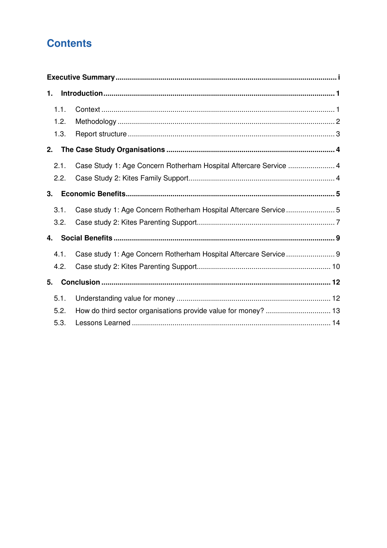# **Contents**

| 1. |      |                                                                   |  |
|----|------|-------------------------------------------------------------------|--|
|    | 1.1. |                                                                   |  |
|    | 1.2. |                                                                   |  |
|    | 1.3. |                                                                   |  |
| 2. |      |                                                                   |  |
|    | 2.1. | Case Study 1: Age Concern Rotherham Hospital Aftercare Service  4 |  |
|    | 2.2. |                                                                   |  |
| 3. |      |                                                                   |  |
|    | 3.1. | Case study 1: Age Concern Rotherham Hospital Aftercare Service5   |  |
|    | 3.2. |                                                                   |  |
| 4. |      |                                                                   |  |
|    | 4.1. | Case study 1: Age Concern Rotherham Hospital Aftercare Service  9 |  |
|    | 4.2. |                                                                   |  |
| 5. |      |                                                                   |  |
|    | 5.1. |                                                                   |  |
|    | 5.2. | How do third sector organisations provide value for money?  13    |  |
|    | 5.3. |                                                                   |  |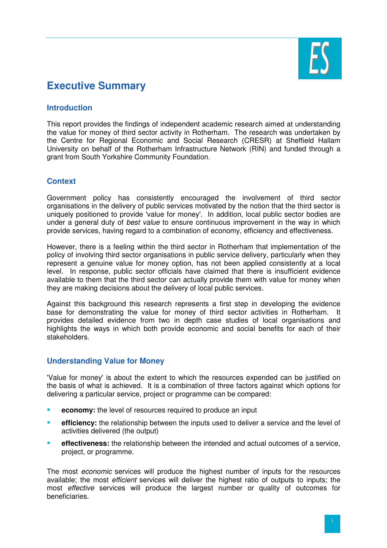

# **Executive Summary**

#### **Introduction**

This report provides the findings of independent academic research aimed at understanding the value for money of third sector activity in Rotherham. The research was undertaken by the Centre for Regional Economic and Social Research (CRESR) at Sheffield Hallam University on behalf of the Rotherham Infrastructure Network (RIN) and funded through a grant from South Yorkshire Community Foundation.

#### **Context**

Government policy has consistently encouraged the involvement of third sector organisations in the delivery of public services motivated by the notion that the third sector is uniquely positioned to provide 'value for money'. In addition, local public sector bodies are under a general duty of best value to ensure continuous improvement in the way in which provide services, having regard to a combination of economy, efficiency and effectiveness.

However, there is a feeling within the third sector in Rotherham that implementation of the policy of involving third sector organisations in public service delivery, particularly when they represent a genuine value for money option, has not been applied consistently at a local level. In response, public sector officials have claimed that there is insufficient evidence available to them that the third sector can actually provide them with value for money when they are making decisions about the delivery of local public services.

Against this background this research represents a first step in developing the evidence base for demonstrating the value for money of third sector activities in Rotherham. It provides detailed evidence from two in depth case studies of local organisations and highlights the ways in which both provide economic and social benefits for each of their stakeholders.

#### **Understanding Value for Money**

'Value for money' is about the extent to which the resources expended can be justified on the basis of what is achieved. It is a combination of three factors against which options for delivering a particular service, project or programme can be compared:

- **EXCOMBURY:** the level of resources required to produce an input
- **efficiency:** the relationship between the inputs used to deliver a service and the level of activities delivered (the output)
- **effectiveness:** the relationship between the intended and actual outcomes of a service, project, or programme.

The most economic services will produce the highest number of inputs for the resources available; the most *efficient* services will deliver the highest ratio of outputs to inputs; the most effective services will produce the largest number or quality of outcomes for beneficiaries.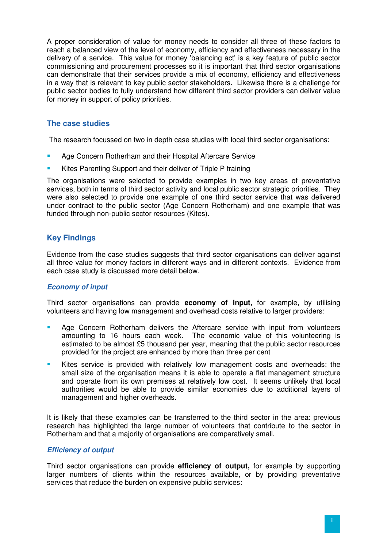A proper consideration of value for money needs to consider all three of these factors to reach a balanced view of the level of economy, efficiency and effectiveness necessary in the delivery of a service. This value for money 'balancing act' is a key feature of public sector commissioning and procurement processes so it is important that third sector organisations can demonstrate that their services provide a mix of economy, efficiency and effectiveness in a way that is relevant to key public sector stakeholders. Likewise there is a challenge for public sector bodies to fully understand how different third sector providers can deliver value for money in support of policy priorities.

#### **The case studies**

The research focussed on two in depth case studies with local third sector organisations:

- Age Concern Rotherham and their Hospital Aftercare Service
- Kites Parenting Support and their deliver of Triple P training

The organisations were selected to provide examples in two key areas of preventative services, both in terms of third sector activity and local public sector strategic priorities. They were also selected to provide one example of one third sector service that was delivered under contract to the public sector (Age Concern Rotherham) and one example that was funded through non-public sector resources (Kites).

#### **Key Findings**

Evidence from the case studies suggests that third sector organisations can deliver against all three value for money factors in different ways and in different contexts. Evidence from each case study is discussed more detail below.

#### **Economy of input**

Third sector organisations can provide **economy of input,** for example, by utilising volunteers and having low management and overhead costs relative to larger providers:

- **Age Concern Rotherham delivers the Aftercare service with input from volunteers** amounting to 16 hours each week. The economic value of this volunteering is estimated to be almost £5 thousand per year, meaning that the public sector resources provided for the project are enhanced by more than three per cent
- Kites service is provided with relatively low management costs and overheads: the small size of the organisation means it is able to operate a flat management structure and operate from its own premises at relatively low cost. It seems unlikely that local authorities would be able to provide similar economies due to additional layers of management and higher overheads.

It is likely that these examples can be transferred to the third sector in the area: previous research has highlighted the large number of volunteers that contribute to the sector in Rotherham and that a majority of organisations are comparatively small.

#### **Efficiency of output**

Third sector organisations can provide **efficiency of output,** for example by supporting larger numbers of clients within the resources available, or by providing preventative services that reduce the burden on expensive public services: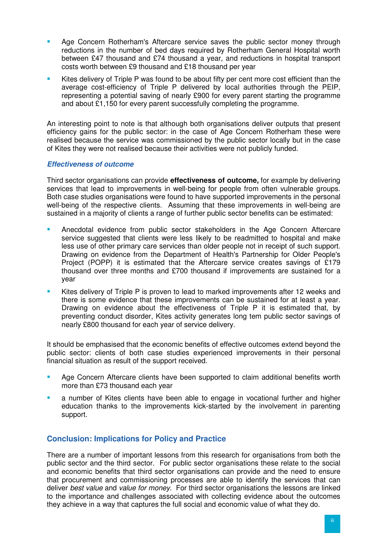- Age Concern Rotherham's Aftercare service saves the public sector money through reductions in the number of bed days required by Rotherham General Hospital worth between £47 thousand and £74 thousand a year, and reductions in hospital transport costs worth between £9 thousand and £18 thousand per year
- Kites delivery of Triple P was found to be about fifty per cent more cost efficient than the average cost-efficiency of Triple P delivered by local authorities through the PEIP, representing a potential saving of nearly £900 for every parent starting the programme and about £1,150 for every parent successfully completing the programme.

An interesting point to note is that although both organisations deliver outputs that present efficiency gains for the public sector: in the case of Age Concern Rotherham these were realised because the service was commissioned by the public sector locally but in the case of Kites they were not realised because their activities were not publicly funded.

#### **Effectiveness of outcome**

Third sector organisations can provide **effectiveness of outcome,** for example by delivering services that lead to improvements in well-being for people from often vulnerable groups. Both case studies organisations were found to have supported improvements in the personal well-being of the respective clients. Assuming that these improvements in well-being are sustained in a majority of clients a range of further public sector benefits can be estimated:

- Anecdotal evidence from public sector stakeholders in the Age Concern Aftercare service suggested that clients were less likely to be readmitted to hospital and make less use of other primary care services than older people not in receipt of such support. Drawing on evidence from the Department of Health's Partnership for Older People's Project (POPP) it is estimated that the Aftercare service creates savings of £179 thousand over three months and £700 thousand if improvements are sustained for a year
- Kites delivery of Triple P is proven to lead to marked improvements after 12 weeks and there is some evidence that these improvements can be sustained for at least a year. Drawing on evidence about the effectiveness of Triple P it is estimated that, by preventing conduct disorder, Kites activity generates long tem public sector savings of nearly £800 thousand for each year of service delivery.

It should be emphasised that the economic benefits of effective outcomes extend beyond the public sector: clients of both case studies experienced improvements in their personal financial situation as result of the support received.

- **Age Concern Aftercare clients have been supported to claim additional benefits worth** more than £73 thousand each year
- **a** number of Kites clients have been able to engage in vocational further and higher education thanks to the improvements kick-started by the involvement in parenting support.

#### **Conclusion: Implications for Policy and Practice**

There are a number of important lessons from this research for organisations from both the public sector and the third sector. For public sector organisations these relate to the social and economic benefits that third sector organisations can provide and the need to ensure that procurement and commissioning processes are able to identify the services that can deliver best value and value for money. For third sector organisations the lessons are linked to the importance and challenges associated with collecting evidence about the outcomes they achieve in a way that captures the full social and economic value of what they do.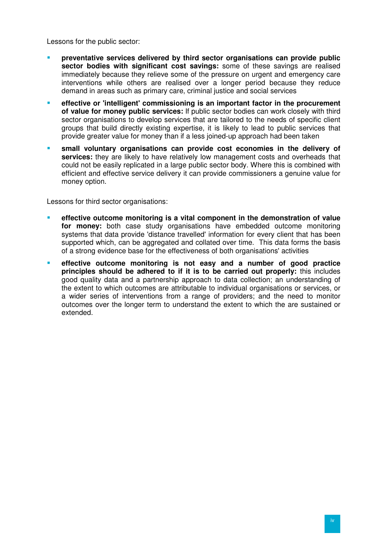Lessons for the public sector:

- **preventative services delivered by third sector organisations can provide public sector bodies with significant cost savings:** some of these savings are realised immediately because they relieve some of the pressure on urgent and emergency care interventions while others are realised over a longer period because they reduce demand in areas such as primary care, criminal justice and social services
- **EXECTE EXECTEDE IN EXECTEDE IS A SET OF CONFIDENT** EXECTEDED **reflective or 'intelligent' commissioning is an important factor in the procurement of value for money public services:** If public sector bodies can work closely with third sector organisations to develop services that are tailored to the needs of specific client groups that build directly existing expertise, it is likely to lead to public services that provide greater value for money than if a less joined-up approach had been taken
- **small voluntary organisations can provide cost economies in the delivery of services:** they are likely to have relatively low management costs and overheads that could not be easily replicated in a large public sector body. Where this is combined with efficient and effective service delivery it can provide commissioners a genuine value for money option.

Lessons for third sector organisations:

- **effective outcome monitoring is a vital component in the demonstration of value for money:** both case study organisations have embedded outcome monitoring systems that data provide 'distance travelled' information for every client that has been supported which, can be aggregated and collated over time. This data forms the basis of a strong evidence base for the effectiveness of both organisations' activities
- **effective outcome monitoring is not easy and a number of good practice principles should be adhered to if it is to be carried out properly:** this includes good quality data and a partnership approach to data collection; an understanding of the extent to which outcomes are attributable to individual organisations or services, or a wider series of interventions from a range of providers; and the need to monitor outcomes over the longer term to understand the extent to which the are sustained or extended.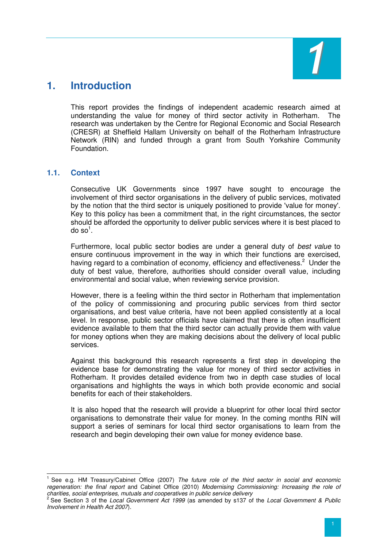

### **1. Introduction**

This report provides the findings of independent academic research aimed at understanding the value for money of third sector activity in Rotherham. The research was undertaken by the Centre for Regional Economic and Social Research (CRESR) at Sheffield Hallam University on behalf of the Rotherham Infrastructure Network (RIN) and funded through a grant from South Yorkshire Community Foundation.

#### **1.1. Context**

Consecutive UK Governments since 1997 have sought to encourage the involvement of third sector organisations in the delivery of public services, motivated by the notion that the third sector is uniquely positioned to provide 'value for money'. Key to this policy has been a commitment that, in the right circumstances, the sector should be afforded the opportunity to deliver public services where it is best placed to do so $^1$ .

Furthermore, local public sector bodies are under a general duty of best value to ensure continuous improvement in the way in which their functions are exercised, having regard to a combination of economy, efficiency and effectiveness.<sup>2</sup> Under the duty of best value, therefore, authorities should consider overall value, including environmental and social value, when reviewing service provision.

However, there is a feeling within the third sector in Rotherham that implementation of the policy of commissioning and procuring public services from third sector organisations, and best value criteria, have not been applied consistently at a local level. In response, public sector officials have claimed that there is often insufficient evidence available to them that the third sector can actually provide them with value for money options when they are making decisions about the delivery of local public services.

Against this background this research represents a first step in developing the evidence base for demonstrating the value for money of third sector activities in Rotherham. It provides detailed evidence from two in depth case studies of local organisations and highlights the ways in which both provide economic and social benefits for each of their stakeholders.

It is also hoped that the research will provide a blueprint for other local third sector organisations to demonstrate their value for money. In the coming months RIN will support a series of seminars for local third sector organisations to learn from the research and begin developing their own value for money evidence base.

 $\overline{a}$ 1 See e.g. HM Treasury/Cabinet Office (2007) The future role of the third sector in social and economic regeneration: the final report and Cabinet Office (2010) Modernising Commissioning: Increasing the role of

charities, social enterprises, mutuals and cooperatives in public service delivery<br><sup>2</sup> See Section 3 of the *Local Government Act 1999* (as amended by s137 of the *Local Government & Public* Involvement in Health Act 2007).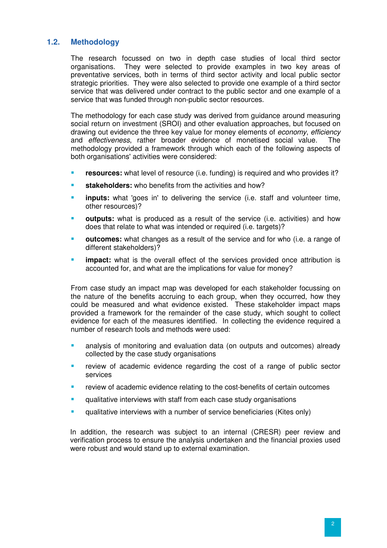#### **1.2. Methodology**

The research focussed on two in depth case studies of local third sector organisations. They were selected to provide examples in two key areas of preventative services, both in terms of third sector activity and local public sector strategic priorities. They were also selected to provide one example of a third sector service that was delivered under contract to the public sector and one example of a service that was funded through non-public sector resources.

The methodology for each case study was derived from guidance around measuring social return on investment (SROI) and other evaluation approaches, but focused on drawing out evidence the three key value for money elements of *economy*, efficiency and effectiveness, rather broader evidence of monetised social value. The methodology provided a framework through which each of the following aspects of both organisations' activities were considered:

- **resources:** what level of resource (i.e. funding) is required and who provides it?
- **stakeholders:** who benefits from the activities and how?
- **inputs:** what 'goes in' to delivering the service (i.e. staff and volunteer time, other resources)?
- **outputs:** what is produced as a result of the service (i.e. activities) and how does that relate to what was intended or required (i.e. targets)?
- **outcomes:** what changes as a result of the service and for who (i.e. a range of different stakeholders)?
- **impact:** what is the overall effect of the services provided once attribution is accounted for, and what are the implications for value for money?

From case study an impact map was developed for each stakeholder focussing on the nature of the benefits accruing to each group, when they occurred, how they could be measured and what evidence existed. These stakeholder impact maps provided a framework for the remainder of the case study, which sought to collect evidence for each of the measures identified. In collecting the evidence required a number of research tools and methods were used:

- analysis of monitoring and evaluation data (on outputs and outcomes) already collected by the case study organisations
- review of academic evidence regarding the cost of a range of public sector services
- review of academic evidence relating to the cost-benefits of certain outcomes
- **EXECUTE:** qualitative interviews with staff from each case study organisations
- qualitative interviews with a number of service beneficiaries (Kites only)

In addition, the research was subject to an internal (CRESR) peer review and verification process to ensure the analysis undertaken and the financial proxies used were robust and would stand up to external examination.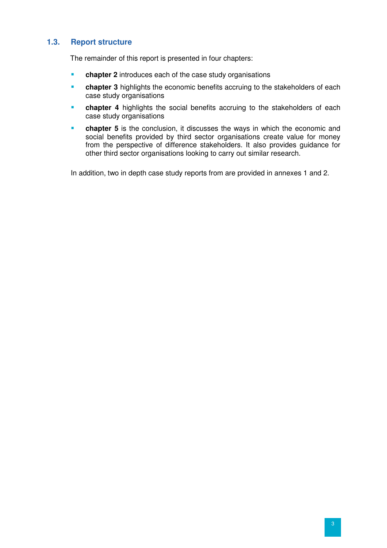#### **1.3. Report structure**

The remainder of this report is presented in four chapters:

- **chapter 2** introduces each of the case study organisations
- **chapter 3** highlights the economic benefits accruing to the stakeholders of each case study organisations
- **chapter 4** highlights the social benefits accruing to the stakeholders of each case study organisations
- **chapter 5** is the conclusion, it discusses the ways in which the economic and social benefits provided by third sector organisations create value for money from the perspective of difference stakeholders. It also provides guidance for other third sector organisations looking to carry out similar research.

In addition, two in depth case study reports from are provided in annexes 1 and 2.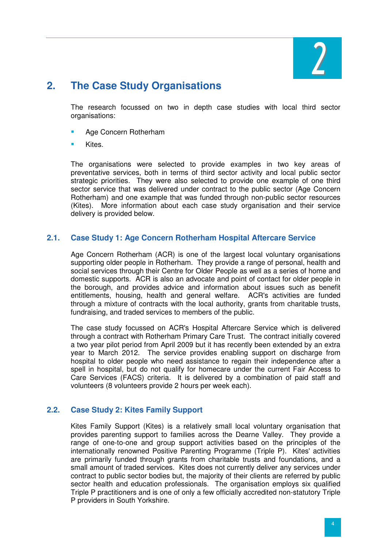

### **2. The Case Study Organisations**

The research focussed on two in depth case studies with local third sector organisations:

- Age Concern Rotherham
- Kites.

The organisations were selected to provide examples in two key areas of preventative services, both in terms of third sector activity and local public sector strategic priorities. They were also selected to provide one example of one third sector service that was delivered under contract to the public sector (Age Concern Rotherham) and one example that was funded through non-public sector resources (Kites). More information about each case study organisation and their service delivery is provided below.

#### **2.1. Case Study 1: Age Concern Rotherham Hospital Aftercare Service**

Age Concern Rotherham (ACR) is one of the largest local voluntary organisations supporting older people in Rotherham. They provide a range of personal, health and social services through their Centre for Older People as well as a series of home and domestic supports. ACR is also an advocate and point of contact for older people in the borough, and provides advice and information about issues such as benefit entitlements, housing, health and general welfare. ACR's activities are funded through a mixture of contracts with the local authority, grants from charitable trusts, fundraising, and traded services to members of the public.

The case study focussed on ACR's Hospital Aftercare Service which is delivered through a contract with Rotherham Primary Care Trust. The contract initially covered a two year pilot period from April 2009 but it has recently been extended by an extra year to March 2012. The service provides enabling support on discharge from hospital to older people who need assistance to regain their independence after a spell in hospital, but do not qualify for homecare under the current Fair Access to Care Services (FACS) criteria. It is delivered by a combination of paid staff and volunteers (8 volunteers provide 2 hours per week each).

#### **2.2. Case Study 2: Kites Family Support**

Kites Family Support (Kites) is a relatively small local voluntary organisation that provides parenting support to families across the Dearne Valley. They provide a range of one-to-one and group support activities based on the principles of the internationally renowned Positive Parenting Programme (Triple P). Kites' activities are primarily funded through grants from charitable trusts and foundations, and a small amount of traded services. Kites does not currently deliver any services under contract to public sector bodies but, the majority of their clients are referred by public sector health and education professionals. The organisation employs six qualified Triple P practitioners and is one of only a few officially accredited non-statutory Triple P providers in South Yorkshire.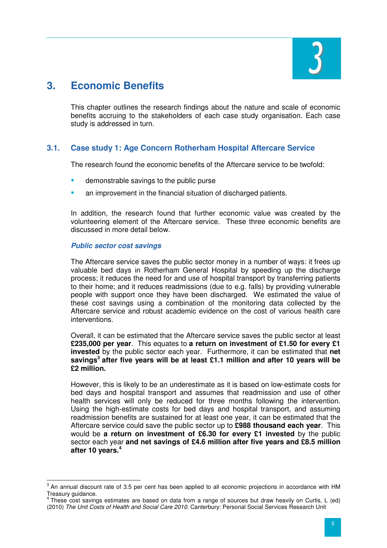

# **3. Economic Benefits**

This chapter outlines the research findings about the nature and scale of economic benefits accruing to the stakeholders of each case study organisation. Each case study is addressed in turn.

#### **3.1. Case study 1: Age Concern Rotherham Hospital Aftercare Service**

The research found the economic benefits of the Aftercare service to be twofold:

- demonstrable savings to the public purse
- an improvement in the financial situation of discharged patients.

In addition, the research found that further economic value was created by the volunteering element of the Aftercare service. These three economic benefits are discussed in more detail below.

#### **Public sector cost savings**

The Aftercare service saves the public sector money in a number of ways: it frees up valuable bed days in Rotherham General Hospital by speeding up the discharge process; it reduces the need for and use of hospital transport by transferring patients to their home; and it reduces readmissions (due to e.g. falls) by providing vulnerable people with support once they have been discharged. We estimated the value of these cost savings using a combination of the monitoring data collected by the Aftercare service and robust academic evidence on the cost of various health care interventions.

Overall, it can be estimated that the Aftercare service saves the public sector at least **£235,000 per year**. This equates to **a return on investment of £1.50 for every £1 invested** by the public sector each year. Furthermore, it can be estimated that **net savings<sup>3</sup> after five years will be at least £1.1 million and after 10 years will be £2 million.**

However, this is likely to be an underestimate as it is based on low-estimate costs for bed days and hospital transport and assumes that readmission and use of other health services will only be reduced for three months following the intervention. Using the high-estimate costs for bed days and hospital transport, and assuming readmission benefits are sustained for at least one year, it can be estimated that the Aftercare service could save the public sector up to **£988 thousand each year**. This would be **a return on investment of £6.30 for every £1 invested** by the public sector each year **and net savings of £4.6 million after five years and £8.5 million after 10 years.<sup>4</sup>**

<sup>&</sup>lt;sup>3</sup> An annual discount rate of 3.5 per cent has been applied to all economic projections in accordance with HM Treasury guidance.

<sup>4</sup> These cost savings estimates are based on data from a range of sources but draw heavily on Curtis, L (ed) (2010) The Unit Costs of Health and Social Care 2010. Canterbury: Personal Social Services Research Unit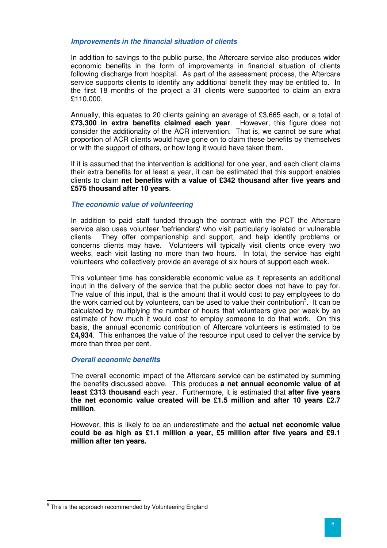#### **Improvements in the financial situation of clients**

In addition to savings to the public purse, the Aftercare service also produces wider economic benefits in the form of improvements in financial situation of clients following discharge from hospital. As part of the assessment process, the Aftercare service supports clients to identify any additional benefit they may be entitled to. In the first 18 months of the project a 31 clients were supported to claim an extra £110,000.

Annually, this equates to 20 clients gaining an average of £3,665 each, or a total of **£73,300 in extra benefits claimed each year**. However, this figure does not consider the additionality of the ACR intervention. That is, we cannot be sure what proportion of ACR clients would have gone on to claim these benefits by themselves or with the support of others, or how long it would have taken them.

If it is assumed that the intervention is additional for one year, and each client claims their extra benefits for at least a year, it can be estimated that this support enables clients to claim **net benefits with a value of £342 thousand after five years and £575 thousand after 10 years**.

#### **The economic value of volunteering**

In addition to paid staff funded through the contract with the PCT the Aftercare service also uses volunteer 'befrienders' who visit particularly isolated or vulnerable clients. They offer companionship and support, and help identify problems or concerns clients may have. Volunteers will typically visit clients once every two weeks, each visit lasting no more than two hours. In total, the service has eight volunteers who collectively provide an average of six hours of support each week.

This volunteer time has considerable economic value as it represents an additional input in the delivery of the service that the public sector does not have to pay for. The value of this input, that is the amount that it would cost to pay employees to do the work carried out by volunteers, can be used to value their contribution<sup>5</sup>. It can be calculated by multiplying the number of hours that volunteers give per week by an estimate of how much it would cost to employ someone to do that work. On this basis, the annual economic contribution of Aftercare volunteers is estimated to be **£4,934**. This enhances the value of the resource input used to deliver the service by more than three per cent.

#### **Overall economic benefits**

The overall economic impact of the Aftercare service can be estimated by summing the benefits discussed above. This produces **a net annual economic value of at least £313 thousand** each year. Furthermore, it is estimated that **after five years the net economic value created will be £1.5 million and after 10 years £2.7 million**.

However, this is likely to be an underestimate and the **actual net economic value could be as high as £1.1 million a year, £5 million after five years and £9.1 million after ten years.** 

<sup>&</sup>lt;u>Fail is the approach recommended by Volunteering England</u><br><sup>5</sup> This is the approach recommended by Volunteering England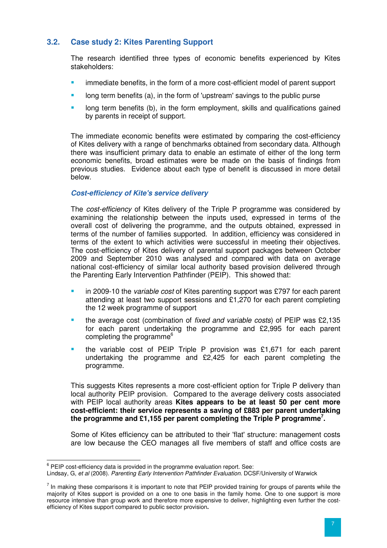#### **3.2. Case study 2: Kites Parenting Support**

The research identified three types of economic benefits experienced by Kites stakeholders:

- immediate benefits, in the form of a more cost-efficient model of parent support
- long term benefits (a), in the form of 'upstream' savings to the public purse
- **If the start is continued to the interm** employment, skills and qualifications gained by parents in receipt of support.

The immediate economic benefits were estimated by comparing the cost-efficiency of Kites delivery with a range of benchmarks obtained from secondary data. Although there was insufficient primary data to enable an estimate of either of the long term economic benefits, broad estimates were be made on the basis of findings from previous studies. Evidence about each type of benefit is discussed in more detail below.

#### **Cost-efficiency of Kite's service delivery**

The *cost-efficiency* of Kites delivery of the Triple P programme was considered by examining the relationship between the inputs used, expressed in terms of the overall cost of delivering the programme, and the outputs obtained, expressed in terms of the number of families supported. In addition, efficiency was considered in terms of the extent to which activities were successful in meeting their objectives. The cost-efficiency of Kites delivery of parental support packages between October 2009 and September 2010 was analysed and compared with data on average national cost-efficiency of similar local authority based provision delivered through the Parenting Early Intervention Pathfinder (PEIP). This showed that:

- in 2009-10 the variable cost of Kites parenting support was £797 for each parent attending at least two support sessions and £1,270 for each parent completing the 12 week programme of support
- the average cost (combination of fixed and variable costs) of PEIP was £2,135 for each parent undertaking the programme and £2,995 for each parent completing the programme<sup>6</sup>
- the variable cost of PEIP Triple P provision was £1,671 for each parent undertaking the programme and £2,425 for each parent completing the programme.

This suggests Kites represents a more cost-efficient option for Triple P delivery than local authority PEIP provision. Compared to the average delivery costs associated with PEIP local authority areas **Kites appears to be at least 50 per cent more cost-efficient: their service represents a saving of £883 per parent undertaking the programme and £1,155 per parent completing the Triple P programme<sup>7</sup> .**

Some of Kites efficiency can be attributed to their 'flat' structure: management costs are low because the CEO manages all five members of staff and office costs are

 6 PEIP cost-efficiency data is provided in the programme evaluation report. See:

Lindsay, G, et al (2008). Parenting Early Intervention Pathfinder Evaluation. DCSF/University of Warwick

 $<sup>7</sup>$  In making these comparisons it is important to note that PEIP provided training for groups of parents while the</sup> majority of Kites support is provided on a one to one basis in the family home. One to one support is more resource intensive than group work and therefore more expensive to deliver, highlighting even further the costefficiency of Kites support compared to public sector provision**.**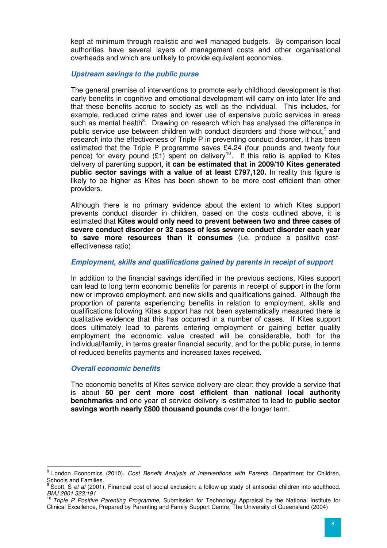kept at minimum through realistic and well managed budgets. By comparison local authorities have several layers of management costs and other organisational overheads and which are unlikely to provide equivalent economies.

#### **Upstream savings to the public purse**

The general premise of interventions to promote early childhood development is that early benefits in cognitive and emotional development will carry on into later life and that these benefits accrue to society as well as the individual. This includes, for example, reduced crime rates and lower use of expensive public services in areas such as mental health<sup>8</sup>. Drawing on research which has analysed the difference in public service use between children with conduct disorders and those without,<sup>9</sup> and research into the effectiveness of Triple P in preventing conduct disorder, it has been estimated that the Triple P programme saves £4.24 (four pounds and twenty four pence) for every pound  $(E1)$  spent on delivery<sup>10</sup>. If this ratio is applied to Kites delivery of parenting support, **it can be estimated that in 2009/10 Kites generated public sector savings with a value of at least £797,120.** In reality this figure is likely to be higher as Kites has been shown to be more cost efficient than other providers.

Although there is no primary evidence about the extent to which Kites support prevents conduct disorder in children, based on the costs outlined above, it is estimated that **Kites would only need to prevent between two and three cases of severe conduct disorder or 32 cases of less severe conduct disorder each year to save more resources than it consumes** (i.e. produce a positive costeffectiveness ratio).

#### **Employment, skills and qualifications gained by parents in receipt of support**

In addition to the financial savings identified in the previous sections, Kites support can lead to long term economic benefits for parents in receipt of support in the form new or improved employment, and new skills and qualifications gained. Although the proportion of parents experiencing benefits in relation to employment, skills and qualifications following Kites support has not been systematically measured there is qualitative evidence that this has occurred in a number of cases. If Kites support does ultimately lead to parents entering employment or gaining better quality employment the economic value created will be considerable, both for the individual/family, in terms greater financial security, and for the public purse, in terms of reduced benefits payments and increased taxes received.

#### **Overall economic benefits**

The economic benefits of Kites service delivery are clear: they provide a service that is about **50 per cent more cost efficient than national local authority benchmarks** and one year of service delivery is estimated to lead to **public sector savings worth nearly £800 thousand pounds** over the longer term.

endon Economics (2010). Cost Benefit Analysis of Interventions with Parents. Department for Children, Schools and Families.<br><sup>9</sup> Seett, S. et el (2001).

Scott, S et al (2001). Financial cost of social exclusion: a follow-up study of antisocial children into adulthood. BMJ 2001 323:191

Triple P Positive Parenting Programme, Submission for Technology Appraisal by the National Institute for Clinical Excellence, Prepared by Parenting and Family Support Centre, The University of Queensland (2004)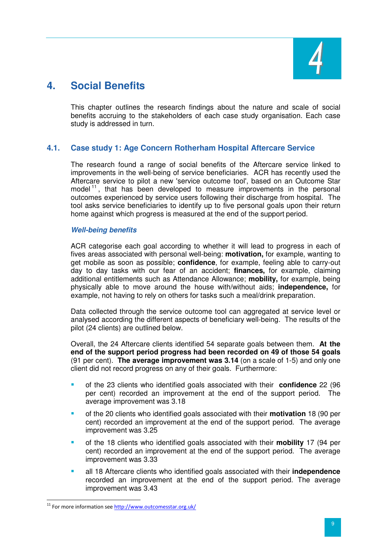

# **4. Social Benefits**

This chapter outlines the research findings about the nature and scale of social benefits accruing to the stakeholders of each case study organisation. Each case study is addressed in turn.

#### **4.1. Case study 1: Age Concern Rotherham Hospital Aftercare Service**

The research found a range of social benefits of the Aftercare service linked to improvements in the well-being of service beneficiaries. ACR has recently used the Aftercare service to pilot a new 'service outcome tool', based on an Outcome Star model  $11$ , that has been developed to measure improvements in the personal outcomes experienced by service users following their discharge from hospital. The tool asks service beneficiaries to identify up to five personal goals upon their return home against which progress is measured at the end of the support period.

#### **Well-being benefits**

ACR categorise each goal according to whether it will lead to progress in each of fives areas associated with personal well-being: **motivation,** for example, wanting to get mobile as soon as possible; **confidence**, for example, feeling able to carry-out day to day tasks with our fear of an accident; **finances,** for example, claiming additional entitlements such as Attendance Allowance; **mobility,** for example, being physically able to move around the house with/without aids; **independence,** for example, not having to rely on others for tasks such a meal/drink preparation.

Data collected through the service outcome tool can aggregated at service level or analysed according the different aspects of beneficiary well-being. The results of the pilot (24 clients) are outlined below.

Overall, the 24 Aftercare clients identified 54 separate goals between them. **At the end of the support period progress had been recorded on 49 of those 54 goals** (91 per cent). **The average improvement was 3.14** (on a scale of 1-5) and only one client did not record progress on any of their goals. Furthermore:

- of the 23 clients who identified goals associated with their **confidence** 22 (96 per cent) recorded an improvement at the end of the support period. The average improvement was 3.18
- of the 20 clients who identified goals associated with their **motivation** 18 (90 per cent) recorded an improvement at the end of the support period. The average improvement was 3.25
- of the 18 clients who identified goals associated with their **mobility** 17 (94 per cent) recorded an improvement at the end of the support period. The average improvement was 3.33
- all 18 Aftercare clients who identified goals associated with their **independence** recorded an improvement at the end of the support period. The average improvement was 3.43

 $\overline{a}$ <sup>11</sup> For more information see http://www.outcomesstar.org.uk/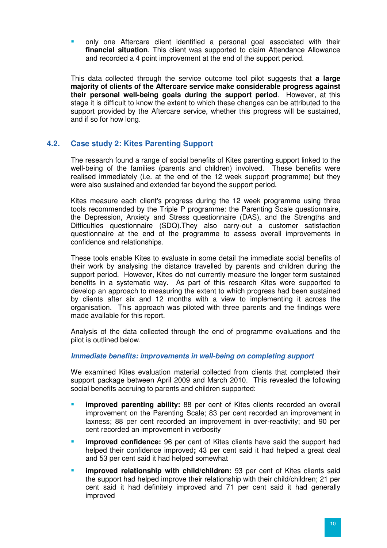only one Aftercare client identified a personal goal associated with their **financial situation**. This client was supported to claim Attendance Allowance and recorded a 4 point improvement at the end of the support period.

This data collected through the service outcome tool pilot suggests that **a large majority of clients of the Aftercare service make considerable progress against their personal well-being goals during the support period**. However, at this stage it is difficult to know the extent to which these changes can be attributed to the support provided by the Aftercare service, whether this progress will be sustained, and if so for how long.

#### **4.2. Case study 2: Kites Parenting Support**

The research found a range of social benefits of Kites parenting support linked to the well-being of the families (parents and children) involved. These benefits were realised immediately (i.e. at the end of the 12 week support programme) but they were also sustained and extended far beyond the support period.

Kites measure each client's progress during the 12 week programme using three tools recommended by the Triple P programme: the Parenting Scale questionnaire, the Depression, Anxiety and Stress questionnaire (DAS), and the Strengths and Difficulties questionnaire (SDQ).They also carry-out a customer satisfaction questionnaire at the end of the programme to assess overall improvements in confidence and relationships.

These tools enable Kites to evaluate in some detail the immediate social benefits of their work by analysing the distance travelled by parents and children during the support period. However, Kites do not currently measure the longer term sustained benefits in a systematic way. As part of this research Kites were supported to develop an approach to measuring the extent to which progress had been sustained by clients after six and 12 months with a view to implementing it across the organisation. This approach was piloted with three parents and the findings were made available for this report.

Analysis of the data collected through the end of programme evaluations and the pilot is outlined below.

#### **Immediate benefits: improvements in well-being on completing support**

We examined Kites evaluation material collected from clients that completed their support package between April 2009 and March 2010. This revealed the following social benefits accruing to parents and children supported:

- **improved parenting ability:** 88 per cent of Kites clients recorded an overall improvement on the Parenting Scale; 83 per cent recorded an improvement in laxness; 88 per cent recorded an improvement in over-reactivity; and 90 per cent recorded an improvement in verbosity
- **improved confidence:** 96 per cent of Kites clients have said the support had helped their confidence improved**;** 43 per cent said it had helped a great deal and 53 per cent said it had helped somewhat
- **improved relationship with child/children:** 93 per cent of Kites clients said the support had helped improve their relationship with their child/children; 21 per cent said it had definitely improved and 71 per cent said it had generally improved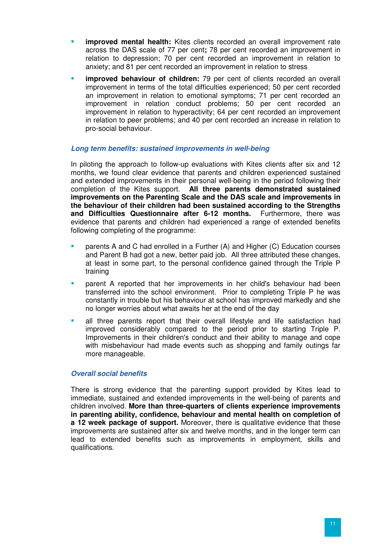- **improved mental health:** Kites clients recorded an overall improvement rate across the DAS scale of 77 per cent**;** 78 per cent recorded an improvement in relation to depression; 70 per cent recorded an improvement in relation to anxiety; and 81 per cent recorded an improvement in relation to stress
- **improved behaviour of children:** 79 per cent of clients recorded an overall improvement in terms of the total difficulties experienced; 50 per cent recorded an improvement in relation to emotional symptoms; 71 per cent recorded an improvement in relation conduct problems; 50 per cent recorded an improvement in relation to hyperactivity; 64 per cent recorded an improvement in relation to peer problems; and 40 per cent recorded an increase in relation to pro-social behaviour.

#### **Long term benefits: sustained improvements in well-being**

In piloting the approach to follow-up evaluations with Kites clients after six and 12 months, we found clear evidence that parents and children experienced sustained and extended improvements in their personal well-being in the period following their completion of the Kites support. **All three parents demonstrated sustained improvements on the Parenting Scale and the DAS scale and improvements in the behaviour of their children had been sustained according to the Strengths and Difficulties Questionnaire after 6-12 months.** Furthermore, there was evidence that parents and children had experienced a range of extended benefits following completing of the programme:

- parents A and C had enrolled in a Further (A) and Higher (C) Education courses and Parent B had got a new, better paid job. All three attributed these changes, at least in some part, to the personal confidence gained through the Triple P training
- parent A reported that her improvements in her child's behaviour had been transferred into the school environment. Prior to completing Triple P he was constantly in trouble but his behaviour at school has improved markedly and she no longer worries about what awaits her at the end of the day
- all three parents report that their overall lifestyle and life satisfaction had improved considerably compared to the period prior to starting Triple P. Improvements in their children's conduct and their ability to manage and cope with misbehaviour had made events such as shopping and family outings far more manageable.

#### **Overall social benefits**

There is strong evidence that the parenting support provided by Kites lead to immediate, sustained and extended improvements in the well-being of parents and children involved. **More than three-quarters of clients experience improvements in parenting ability, confidence, behaviour and mental health on completion of a 12 week package of support.** Moreover, there is qualitative evidence that these improvements are sustained after six and twelve months, and in the longer term can lead to extended benefits such as improvements in employment, skills and qualifications.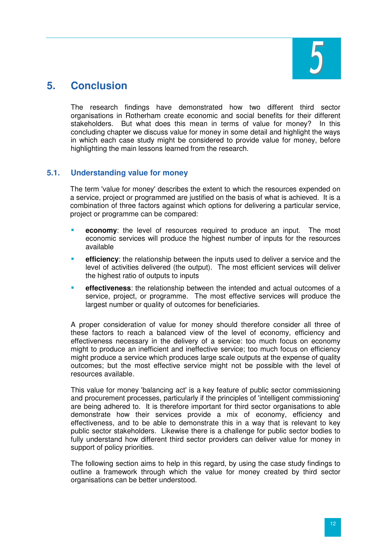

## **5. Conclusion**

The research findings have demonstrated how two different third sector organisations in Rotherham create economic and social benefits for their different stakeholders. But what does this mean in terms of value for money? In this concluding chapter we discuss value for money in some detail and highlight the ways in which each case study might be considered to provide value for money, before highlighting the main lessons learned from the research.

#### **5.1. Understanding value for money**

The term 'value for money' describes the extent to which the resources expended on a service, project or programmed are justified on the basis of what is achieved. It is a combination of three factors against which options for delivering a particular service, project or programme can be compared:

- **economy**: the level of resources required to produce an input. The most economic services will produce the highest number of inputs for the resources available
- **efficiency**: the relationship between the inputs used to deliver a service and the level of activities delivered (the output). The most efficient services will deliver the highest ratio of outputs to inputs
- **effectiveness**: the relationship between the intended and actual outcomes of a service, project, or programme. The most effective services will produce the largest number or quality of outcomes for beneficiaries.

A proper consideration of value for money should therefore consider all three of these factors to reach a balanced view of the level of economy, efficiency and effectiveness necessary in the delivery of a service: too much focus on economy might to produce an inefficient and ineffective service; too much focus on efficiency might produce a service which produces large scale outputs at the expense of quality outcomes; but the most effective service might not be possible with the level of resources available.

This value for money 'balancing act' is a key feature of public sector commissioning and procurement processes, particularly if the principles of 'intelligent commissioning' are being adhered to. It is therefore important for third sector organisations to able demonstrate how their services provide a mix of economy, efficiency and effectiveness, and to be able to demonstrate this in a way that is relevant to key public sector stakeholders. Likewise there is a challenge for public sector bodies to fully understand how different third sector providers can deliver value for money in support of policy priorities.

The following section aims to help in this regard, by using the case study findings to outline a framework through which the value for money created by third sector organisations can be better understood.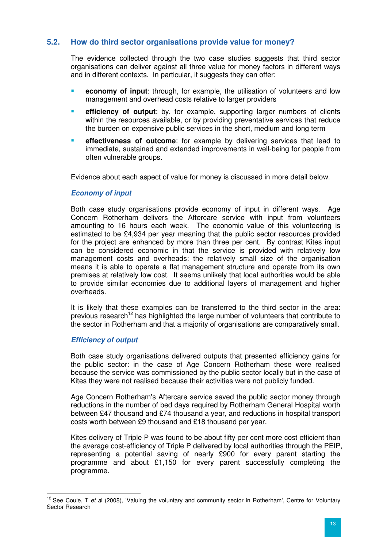#### **5.2. How do third sector organisations provide value for money?**

The evidence collected through the two case studies suggests that third sector organisations can deliver against all three value for money factors in different ways and in different contexts. In particular, it suggests they can offer:

- **economy of input**: through, for example, the utilisation of volunteers and low management and overhead costs relative to larger providers
- **efficiency of output**: by, for example, supporting larger numbers of clients within the resources available, or by providing preventative services that reduce the burden on expensive public services in the short, medium and long term
- **effectiveness of outcome**: for example by delivering services that lead to immediate, sustained and extended improvements in well-being for people from often vulnerable groups.

Evidence about each aspect of value for money is discussed in more detail below.

#### **Economy of input**

Both case study organisations provide economy of input in different ways. Age Concern Rotherham delivers the Aftercare service with input from volunteers amounting to 16 hours each week. The economic value of this volunteering is estimated to be £4,934 per year meaning that the public sector resources provided for the project are enhanced by more than three per cent. By contrast Kites input can be considered economic in that the service is provided with relatively low management costs and overheads: the relatively small size of the organisation means it is able to operate a flat management structure and operate from its own premises at relatively low cost. It seems unlikely that local authorities would be able to provide similar economies due to additional layers of management and higher overheads.

It is likely that these examples can be transferred to the third sector in the area: previous research<sup>12</sup> has highlighted the large number of volunteers that contribute to the sector in Rotherham and that a majority of organisations are comparatively small.

#### **Efficiency of output**

Both case study organisations delivered outputs that presented efficiency gains for the public sector: in the case of Age Concern Rotherham these were realised because the service was commissioned by the public sector locally but in the case of Kites they were not realised because their activities were not publicly funded.

Age Concern Rotherham's Aftercare service saved the public sector money through reductions in the number of bed days required by Rotherham General Hospital worth between £47 thousand and £74 thousand a year, and reductions in hospital transport costs worth between £9 thousand and £18 thousand per year.

Kites delivery of Triple P was found to be about fifty per cent more cost efficient than the average cost-efficiency of Triple P delivered by local authorities through the PEIP, representing a potential saving of nearly £900 for every parent starting the programme and about £1,150 for every parent successfully completing the programme.

 $\overline{\phantom{a}}$  $12$  See Coule, T et al (2008), 'Valuing the voluntary and community sector in Rotherham', Centre for Voluntary Sector Research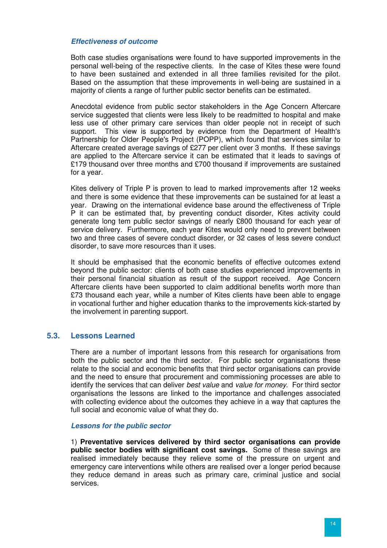#### **Effectiveness of outcome**

Both case studies organisations were found to have supported improvements in the personal well-being of the respective clients. In the case of Kites these were found to have been sustained and extended in all three families revisited for the pilot. Based on the assumption that these improvements in well-being are sustained in a majority of clients a range of further public sector benefits can be estimated.

Anecdotal evidence from public sector stakeholders in the Age Concern Aftercare service suggested that clients were less likely to be readmitted to hospital and make less use of other primary care services than older people not in receipt of such support. This view is supported by evidence from the Department of Health's Partnership for Older People's Project (POPP), which found that services similar to Aftercare created average savings of £277 per client over 3 months. If these savings are applied to the Aftercare service it can be estimated that it leads to savings of £179 thousand over three months and £700 thousand if improvements are sustained for a year.

Kites delivery of Triple P is proven to lead to marked improvements after 12 weeks and there is some evidence that these improvements can be sustained for at least a year. Drawing on the international evidence base around the effectiveness of Triple P it can be estimated that, by preventing conduct disorder, Kites activity could generate long tem public sector savings of nearly £800 thousand for each year of service delivery. Furthermore, each year Kites would only need to prevent between two and three cases of severe conduct disorder, or 32 cases of less severe conduct disorder, to save more resources than it uses.

It should be emphasised that the economic benefits of effective outcomes extend beyond the public sector: clients of both case studies experienced improvements in their personal financial situation as result of the support received. Age Concern Aftercare clients have been supported to claim additional benefits worth more than £73 thousand each year, while a number of Kites clients have been able to engage in vocational further and higher education thanks to the improvements kick-started by the involvement in parenting support.

#### **5.3. Lessons Learned**

There are a number of important lessons from this research for organisations from both the public sector and the third sector. For public sector organisations these relate to the social and economic benefits that third sector organisations can provide and the need to ensure that procurement and commissioning processes are able to identify the services that can deliver *best value* and *value for money*. For third sector organisations the lessons are linked to the importance and challenges associated with collecting evidence about the outcomes they achieve in a way that captures the full social and economic value of what they do.

#### **Lessons for the public sector**

1) **Preventative services delivered by third sector organisations can provide public sector bodies with significant cost savings.** Some of these savings are realised immediately because they relieve some of the pressure on urgent and emergency care interventions while others are realised over a longer period because they reduce demand in areas such as primary care, criminal justice and social services.